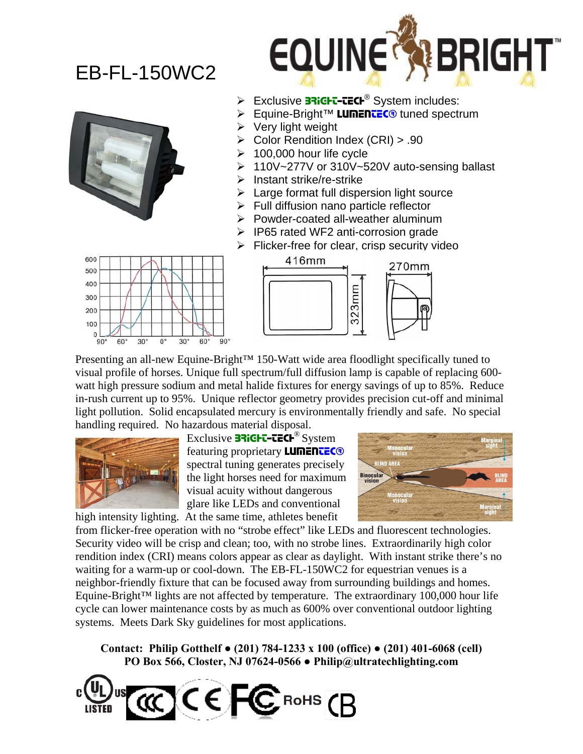## EB-FL-150WC2





- Exclusive 33iGFT-TECF<sup>®</sup> System includes:
- **Equine-Bright™ LUMENTEC<sup>®</sup> tuned spectrum**
- $\triangleright$  Very light weight
- ¾ Color Rendition Index (CRI) > .90
- 100,000 hour life cycle
- ¾ 110V~277V or 310V~520V auto-sensing ballast
- Instant strike/re-strike
- Large format full dispersion light source
- $\triangleright$  Full diffusion nano particle reflector
- ¾ Powder-coated all-weather aluminum
- ¾ IP65 rated WF2 anti-corrosion grade
- $\triangleright$  Flicker-free for clear, crisp security video





Presenting an all-new Equine-Bright<sup>™</sup> 150-Watt wide area floodlight specifically tuned to visual profile of horses. Unique full spectrum/full diffusion lamp is capable of replacing 600 watt high pressure sodium and metal halide fixtures for energy savings of up to 85%. Reduce in-rush current up to 95%. Unique reflector geometry provides precision cut-off and minimal light pollution. Solid encapsulated mercury is environmentally friendly and safe. No special handling required. No hazardous material disposal.



Exclusive **BRIGHT-TECH<sup>®</sup>** System featuring proprietary **LUMENTEC®** spectral tuning generates precisely the light horses need for maximum visual acuity without dangerous glare like LEDs and conventional high intensity lighting. At the same time, athletes benefit



from flicker-free operation with no "strobe effect" like LEDs and fluorescent technologies. Security video will be crisp and clean; too, with no strobe lines. Extraordinarily high color rendition index (CRI) means colors appear as clear as daylight. With instant strike there's no waiting for a warm-up or cool-down. The EB-FL-150WC2 for equestrian venues is a neighbor-friendly fixture that can be focused away from surrounding buildings and homes. Equine-Bright™ lights are not affected by temperature. The extraordinary 100,000 hour life cycle can lower maintenance costs by as much as 600% over conventional outdoor lighting systems. Meets Dark Sky guidelines for most applications.

**Contact: Philip Gotthelf ● (201) 784-1233 x 100 (office) ● (201) 401-6068 (cell) PO Box 566, Closter, NJ 07624-0566 ● Philip@ultratechlighting.com**